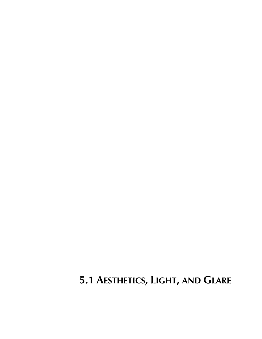# **5.1 AESTHETICS, LIGHT, AND GLARE**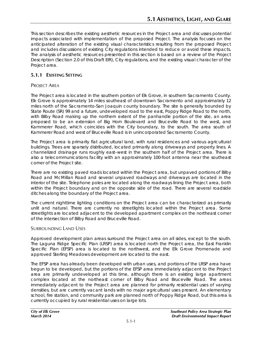This section describes the existing aesthetic resources in the Project area and discusses potential impacts associated with implementation of the proposed Project. The analysis focuses on the anticipated alteration of the existing visual characteristics resulting from the proposed Project and includes discussions of existing City regulations intended to reduce or avoid these impacts. The analysis of aesthetic resources presented in this section is based on a review of the Project Description (Section 2.0 of this Draft EIR), City regulations, and the existing visual character of the Project area.

# **5.1.1 EXISTING SETTING**

# PROJECT AREA

The Project area is located in the southern portion of Elk Grove, in southern Sacramento County. Elk Grove is approximately 14 miles southeast of downtown Sacramento and approximately 12 miles north of the Sacramento-San Joaquin county boundary. The site is generally bounded by State Route (SR) 99 and a future, undeveloped road to the east, Poppy Ridge Road to the north, with Bilby Road making up the northern extent of the panhandle portion of the site, an area proposed to be an extension of Big Horn Boulevard and Bruceville Road to the west, and Kammerer Road, which coincides with the City boundary, to the south. The area south of Kammerer Road and west of Bruceville Road is in unincorporated Sacramento County.

The Project area is primarily flat agricultural land, with rural residences and various agricultural buildings. Trees are sparsely distributed, located primarily along driveways and property lines. A channelized drainage runs roughly east–west in the southern half of the Project area. There is also a telecommunications facility with an approximately 100-foot antenna near the southeast corner of the Project site.

There are no existing paved roads located within the Project area, but unpaved portions of Bilby Road and McMillan Road and several unpaved roadways and driveways are located in the interior of the site. Telephone poles are located along the roadways lining the Project area, both within the Project boundary and on the opposite side of the road. There are several roadside ditches along the boundary of the Project area.

The current nighttime lighting conditions on the Project area can be characterized as primarily unlit and natural. There are currently no streetlights located within the Project area. Some streetlights are located adjacent to the developed apartment complex on the northeast corner of the intersection of Bilby Road and Bruceville Road.

## SURROUNDING LAND USES

Approved development plan areas surround the Project area on all sides, except to the south. The Laguna Ridge Specific Plan (LRSP) area is located north the Project area, the East Franklin Specific Plan (EFSP) area is located to the northwest, and the Elk Grove Promenade and approved Sterling Meadows development are located to the east.

The EFSP area has already been developed with urban uses, and portions of the LRSP area have begun to be developed, but the portions of the EFSP area immediately adjacent to the Project area are primarily undeveloped at this time, although there is an existing large apartment complex located at the northeast corner of Bilby Road and Bruceville Road. The areas immediately adjacent to the Project area are planned for primarily residential uses of varying densities, but are currently vacant lands with no major agricultural uses present. An elementary school, fire station, and community park are planned north of Poppy Ridge Road, but this area is currently occupied by rural residential uses on large lots.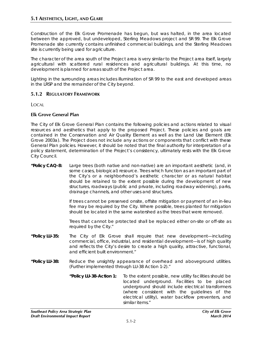Construction of the Elk Grove Promenade has begun, but was halted, in the area located between the approved, but undeveloped, Sterling Meadows project and SR 99. The Elk Grove Promenade site currently contains unfinished commercial buildings, and the Sterling Meadows site is currently being used for agriculture.

The character of the area south of the Project area is very similar to the Project area itself, largely agricultural with scattered rural residences and agricultural buildings. At this time, no development is planned for areas south of the Project area.

Lighting in the surrounding areas includes illumination of SR 99 to the east and developed areas in the LRSP and the remainder of the City beyond.

## **5.1.2 REGULATORY FRAMEWORK**

LOCAL

## **Elk Grove General Plan**

The City of Elk Grove General Plan contains the following policies and actions related to visual resources and aesthetics that apply to the proposed Project. These policies and goals are contained in the Conservation and Air Quality Element as well as the Land Use Element (Elk Grove 2003a). The Project does not include any actions or components that conflict with these General Plan policies. However, it should be noted that the final authority for interpretation of a policy statement, determination of the Project's consistency, ultimately rests with the Elk Grove City Council.

**"Policy CAQ-8:** Large trees (both native and non-native) are an important aesthetic (and, in some cases, biological) resource. Trees which function as an important part of the City's or a neighborhood's aesthetic character or as natural habitat should be retained to the extent possible during the development of new structures, roadways (public and private, including roadway widening), parks, drainage channels, and other uses and structures.

> If trees cannot be preserved onsite, offsite mitigation or payment of an in-lieu fee may be required by the City. Where possible, trees planted for mitigation should be located in the same watershed as the trees that were removed.

> Trees that cannot be protected shall be replaced either on-site or off-site as required by the City."

- **"Policy LU-35:** The City of Elk Grove shall require that new development—including commercial, office, industrial, and residential development—is of high quality and reflects the City's desire to create a high quality, attractive, functional, and efficient built environment."
- **"Policy LU-38:** Reduce the unsightly appearance of overhead and aboveground utilities. (Further implemented through LU-38 Action 1-2)."
	- **"Policy LU-38-Action 1:** To the extent possible, new utility facilities should be located underground. Facilities to be placed underground should include electrical transformers (where consistent with the guidelines of the electrical utility), water backflow preventers, and similar items."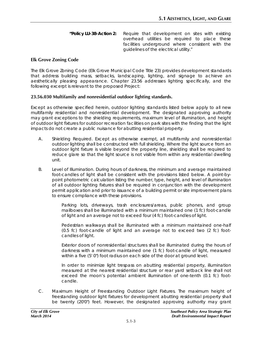**"Policy LU-38-Action 2:** Require that development on sites with existing overhead utilities be required to place these facilities underground where consistent with the guidelines of the electrical utility."

#### **Elk Grove Zoning Code**

The Elk Grove Zoning Code (Elk Grove Municipal Code Title 23) provides development standards that address building mass, setbacks, landscaping, lighting, and signage to achieve an aesthetically pleasing appearance. Chapter 23.56 addresses lighting specifically, and the following excerpt is relevant to the proposed Project:

#### **23.56.030 Multifamily and nonresidential outdoor lighting standards.**

Except as otherwise specified herein, outdoor lighting standards listed below apply to all new multifamily residential and nonresidential development. The designated approving authority may grant exceptions to the shielding requirements, maximum level of illumination, and height of outdoor light fixtures for outdoor recreation facilities on park sites with the finding that the light impacts do not create a public nuisance for abutting residential property.

- A. Shielding Required. Except as otherwise exempt, all multifamily and nonresidential outdoor lighting shall be constructed with full shielding. Where the light source from an outdoor light fixture is visible beyond the property line, shielding shall be required to reduce glare so that the light source is not visible from within any residential dwelling unit.
- B. Level of Illumination. During hours of darkness, the minimum and average maintained foot-candles of light shall be consistent with the provisions listed below. A point-bypoint photometric calculation listing the number, type, height, and level of illumination of all outdoor lighting fixtures shall be required in conjunction with the development permit application and prior to issuance of a building permit or site improvement plans to ensure compliance with these provisions.

Parking lots, driveways, trash enclosures/areas, public phones, and group mailboxes shall be illuminated with a minimum maintained one (1 fc) foot-candle of light and an average not to exceed four (4 fc) foot-candles of light.

Pedestrian walkways shall be illuminated with a minimum maintained one-half (0.5 fc) foot-candle of light and an average not to exceed two (2 fc) footcandles of light.

Exterior doors of nonresidential structures shall be illuminated during the hours of darkness with a minimum maintained one (1 fc) foot-candle of light, measured within a five (5' 0") foot radius on each side of the door at ground level.

In order to minimize light trespass on abutting residential property, illumination measured at the nearest residential structure or rear yard setback line shall not exceed the moon's potential ambient illumination of one-tenth (0.1 fc) footcandle.

C. Maximum Height of Freestanding Outdoor Light Fixtures. The maximum height of freestanding outdoor light fixtures for development abutting residential property shall be twenty (20'0") feet. However, the designated approving authority may grant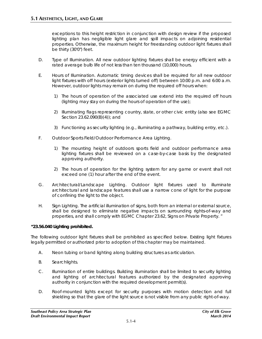exceptions to this height restriction in conjunction with design review if the proposed lighting plan has negligible light glare and spill impacts on adjoining residential properties. Otherwise, the maximum height for freestanding outdoor light fixtures shall be thirty (30'0") feet.

- D. Type of Illumination. All new outdoor lighting fixtures shall be energy efficient with a rated average bulb life of not less than ten thousand (10,000) hours.
- E. Hours of Illumination. Automatic timing devices shall be required for all new outdoor light fixtures with off hours (exterior lights turned off) between 10:00 p.m. and 6:00 a.m. However, outdoor lights may remain on during the required off hours when:
	- 1) The hours of operation of the associated use extend into the required off hours (lighting may stay on during the hours of operation of the use);
	- 2) Illuminating flags representing country, state, or other civic entity (also see EGMC Section 23.62.090(B)(4)); and
	- 3) Functioning as security lighting (e.g., illuminating a pathway, building entry, etc.).
- F. Outdoor Sports Field/Outdoor Performance Area Lighting.
	- 1) The mounting height of outdoors sports field and outdoor performance area lighting fixtures shall be reviewed on a case-by-case basis by the designated approving authority.
	- 2) The hours of operation for the lighting system for any game or event shall not exceed one (1) hour after the end of the event.
- G. Architectural/Landscape Lighting. Outdoor light fixtures used to illuminate architectural and landscape features shall use a narrow cone of light for the purpose of confining the light to the object.
- H. Sign Lighting. The artificial illumination of signs, both from an internal or external source, shall be designed to eliminate negative impacts on surrounding rights-of-way and properties, and shall comply with EGMC Chapter 23.62, Signs on Private Property. "

#### **"23.56.040 Lighting prohibited.**

The following outdoor light fixtures shall be prohibited as specified below. Existing light fixtures legally permitted or authorized prior to adoption of this chapter may be maintained.

- A. Neon tubing or band lighting along building structures as articulation.
- B. Searchlights.
- C. Illumination of entire buildings. Building illumination shall be limited to security lighting and lighting of architectural features authorized by the designated approving authority in conjunction with the required development permit(s).
- D. Roof-mounted lights except for security purposes with motion detection and full shielding so that the glare of the light source is not visible from any public right-of-way.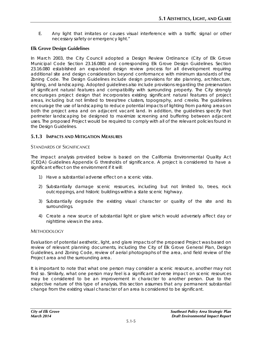E. Any light that imitates or causes visual interference with a traffic signal or other necessary safety or emergency light."

## **Elk Grove Design Guidelines**

In March 2003, the City Council adopted a Design Review Ordinance (City of Elk Grove Municipal Code Section 23.16.080) and corresponding Elk Grove Design Guidelines. Section 23.16.080 established an expanded design review process for all development requiring additional site and design consideration beyond conformance with minimum standards of the Zoning Code. The Design Guidelines include design provisions for site planning, architecture, lighting, and landscaping. Adopted guidelines also include provisions regarding the preservation of significant natural features and compatibility with surrounding property. The City strongly encourages project design that incorporates existing significant natural features of project areas, including but not limited to trees/tree clusters, topography, and creeks. The guidelines encourage the use of landscaping to reduce potential impacts of lighting from parking areas on both the project area and on adjacent vacant land. In addition, the guidelines specify that perimeter landscaping be designed to maximize screening and buffering between adjacent uses. The proposed Project would be required to comply with all of the relevant policies found in the Design Guidelines.

# **5.1.3 IMPACTS AND MITIGATION MEASURES**

## STANDARDS OF SIGNIFICANCE

The impact analysis provided below is based on the California Environmental Quality Act (CEQA) Guidelines Appendix G thresholds of significance. A project is considered to have a significant effect on the environment if it will:

- 1) Have a substantial adverse effect on a scenic vista.
- 2) Substantially damage scenic resources, including but not limited to, trees, rock outcroppings, and historic buildings within a state scenic highway.
- 3) Substantially degrade the existing visual character or quality of the site and its surroundings.
- 4) Create a new source of substantial light or glare which would adversely affect day or nighttime views in the area.

## **METHODOLOGY**

Evaluation of potential aesthetic, light, and glare impacts of the proposed Project was based on review of relevant planning documents, including the City of Elk Grove General Plan, Design Guidelines, and Zoning Code, review of aerial photographs of the area, and field review of the Project area and the surrounding area.

It is important to note that what one person may consider a scenic resource, another may not find so. Similarly, what one person may feel is a significant adverse impact on scenic resources may be considered to be an improvement in character to another person. Due to the subjective nature of this type of analysis, this section assumes that any permanent substantial change from the existing visual character of an area is considered to be significant.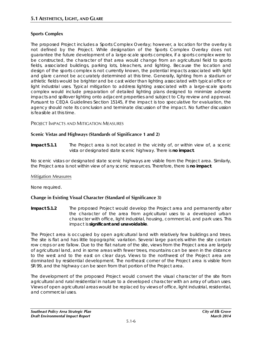## **Sports Complex**

The proposed Project includes a Sports Complex Overlay; however, a location for the overlay is not defined by the Project. While designation of the Sports Complex Overlay does not guarantee the future development of a large-scale sports complex, if a sports complex were to be constructed, the character of that area would change from an agricultural field to sports fields, associated buildings, parking lots, bleachers, and lighting. Because the location and design of the sports complex is not currently known, the potential impacts associated with light and glare cannot be accurately determined at this time. Generally, lighting from a stadium or athletic fields would be brighter and be cast wider than lighting associated with typical office or light industrial uses. Typical mitigation to address lighting associated with a large-scale sports complex would include preparation of detailed lighting plans designed to minimize adverse impacts and spillover lighting onto adjacent properties and subject to City review and approval. Pursuant to CEQA Guidelines Section 15145, if the impact is too speculative for evaluation, the agency should note its conclusion and terminate discussion of the impact. No further discussion is feasible at this time.

## PROJECT IMPACTS AND MITIGATION MEASURES

## **Scenic Vistas and Highways (Standards of Significance 1 and 2)**

**Impact 5.1.1** The Project area is not located in the vicinity of, or within view of, a scenic vista or designated state scenic highway. There is **no impact**.

No scenic vistas or designated state scenic highways are visible from the Project area. Similarly, the Project area is not within view of any scenic resources. Therefore, there is **no impact**.

#### Mitigation Measures

None required.

#### **Change in Existing Visual Character (Standard of Significance 3)**

**Impact 5.1.2** The proposed Project would develop the Project area and permanently alter the character of the area from agricultural uses to a developed urban character with office, light industrial, housing, commercial, and park uses. This impact is **significant and unavoidable**.

The Project area is occupied by open agricultural land with relatively few buildings and trees. The site is flat and has little topographic variation. Several large parcels within the site contain row crops or are fallow. Due to the flat nature of the site, views from the Project area are largely of agricultural land, and in some areas with fewer trees, mountains can be seen in the distance to the west and to the east on clear days. Views to the northwest of the Project area are dominated by residential development. The northeast corner of the Project area is visible from SR 99, and the highway can be seen from that portion of the Project area.

The development of the proposed Project would convert the visual character of the site from agricultural and rural residential in nature to a developed character with an array of urban uses. Views of open agricultural areas would be replaced by views of office, light industrial, residential, and commercial uses.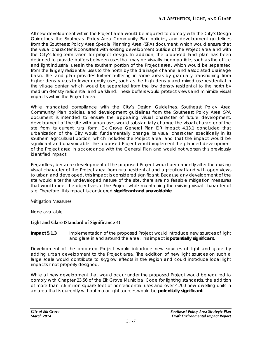All new development within the Project area would be required to comply with the City's Design Guidelines, the Southeast Policy Area Community Plan policies, and development guidelines from the Southeast Policy Area Special Planning Area (SPA) document, which would ensure that the visual character is consistent with existing development outside of the Project area and with the City's long-term vision for project design. In addition, the proposed land plan has been designed to provide buffers between uses that may be visually incompatible, such as the office and light industrial uses in the southern portion of the Project area, which would be separated from the largely residential uses to the north by the drainage channel and associated drainage basin. The land plan provides further buffering in some areas by gradually transitioning from higher density uses to lower density uses, such as the high density and mixed use residential in the village center, which would be separated from the low density residential to the north by medium density residential and parkland. These buffers would protect views and minimize visual impacts within the Project area.

While mandated compliance with the City's Design Guidelines, Southeast Policy Area Community Plan policies, and development guidelines from the Southeast Policy Area SPA document is intended to ensure the appealing visual character of future development, development of the site with urban uses would substantially change the visual character of the site from its current rural form. Elk Grove General Plan EIR Impact 4.13.1 concluded that urbanization of the City would fundamentally change its visual character, specifically in its southern agricultural portion, which includes the Project area, and that the impact would be significant and unavoidable. The proposed Project would implement the planned development of the Project area in accordance with the General Plan and would not worsen this previously identified impact.

Regardless, because development of the proposed Project would permanently alter the existing visual character of the Project area from rural residential and agricultural land with open views to urban and developed, this impact is considered significant. Because any development of the site would alter the undeveloped nature of the site, there are no feasible mitigation measures that would meet the objectives of the Project while maintaining the existing visual character of site. Therefore, this impact is considered **significant and unavoidable**.

#### Mitigation Measures

None available.

## **Light and Glare (Standard of Significance 4)**

#### **Impact 5.1.3** Implementation of the proposed Project would introduce new sources of light and glare in and around the area. This impact is **potentially significant**.

Development of the proposed Project would introduce new sources of light and glare by adding urban development to the Project area. The addition of new light sources on such a large scale would contribute to skyglow effects in the region and could introduce local light impacts if not properly designed.

While all new development that would occur under the proposed Project would be required to comply with Chapter 23.56 of the Elk Grove Municipal Code for lighting standards, the addition of more than 7.6 million square feet of nonresidential uses and over 4,700 new dwelling units in an area that is currently without major light sources would be **potentially significant**.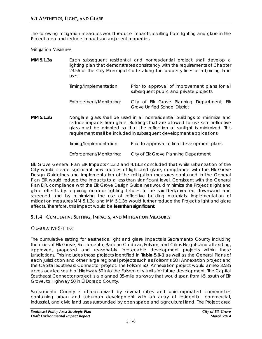The following mitigation measures would reduce impacts resulting from lighting and glare in the Project area and reduce impacts on adjacent properties.

#### Mitigation Measures

| MM 5.1.3a | uses.                                                                                                                                                                                                                                                                                                                 | Each subsequent residential and nonresidential project shall develop a<br>lighting plan that demonstrates consistency with the requirements of Chapter<br>23.56 of the City Municipal Code along the property lines of adjoining land |
|-----------|-----------------------------------------------------------------------------------------------------------------------------------------------------------------------------------------------------------------------------------------------------------------------------------------------------------------------|---------------------------------------------------------------------------------------------------------------------------------------------------------------------------------------------------------------------------------------|
|           | Timing/Implementation:                                                                                                                                                                                                                                                                                                | Prior to approval of improvement plans for all<br>subsequent public and private projects                                                                                                                                              |
|           | Enforcement/Monitoring:                                                                                                                                                                                                                                                                                               | City of Elk Grove Planning Department; Elk<br><b>Grove Unified School District</b>                                                                                                                                                    |
| MM 5.1.3b | Nonglare glass shall be used in all nonresidential buildings to minimize and<br>reduce impacts from glare. Buildings that are allowed to use semi-reflective<br>glass must be oriented so that the reflection of sunlight is minimized. This<br>requirement shall be included in subsequent development applications. |                                                                                                                                                                                                                                       |
|           | Timing/Implementation:                                                                                                                                                                                                                                                                                                | Prior to approval of final development plans                                                                                                                                                                                          |

*Enforcement/Monitoring: City of Elk Grove Planning Department*

Elk Grove General Plan EIR Impacts 4.13.2 and 4.13.3 concluded that while urbanization of the City would create significant new sources of light and glare, compliance with the Elk Grove Design Guidelines and implementation of the mitigation measures contained in the General Plan EIR would reduce the impacts to a less than significant level. Consistent with the General Plan EIR, compliance with the Elk Grove Design Guidelines would minimize the Project's light and glare effects by requiring outdoor lighting fixtures to be shielded/directed downward and screened and by minimizing the use of reflective building materials. Implementation of mitigation measures MM 5.1.3a and MM 5.1.3b would further reduce the Project's light and glare effects. Therefore, this impact would be **less than significant**.

## **5.1.4 CUMULATIVE SETTING, IMPACTS, AND MITIGATION MEASURES**

## CUMULATIVE SETTING

The cumulative setting for aesthetics, light and glare impacts is Sacramento County including the cities of Elk Grove, Sacramento, Rancho Cordova, Folsom, and Citrus Heights and all existing, approved, proposed and reasonably foreseeable development projects within these jurisdictions. This includes those projects identified in **Table 5.0-1** as well as the General Plans of each jurisdiction and other large regional projects such as Folsom's SOI Annexation project and the Capital Southeast Connector project. The Folsom SOI Annexation project would annex 3,585 acres located south of Highway 50 into the Folsom city limits for future development. The Capital Southeast Connector project is a planned 35-mile parkway that would span from I-5, south of Elk Grove, to Highway 50 in El Dorado County.

Sacramento County is characterized by several cities and unincorporated communities containing urban and suburban development with an array of residential, commercial, industrial, and civic land uses surrounded by open space and agricultural land. The Project area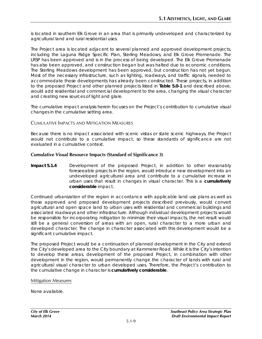is located in southern Elk Grove in an area that is primarily undeveloped and characterized by agricultural land and rural residential uses.

The Project area is located adjacent to several planned and approved development projects, including the Laguna Ridge Specific Plan, Sterling Meadows, and Elk Grove Promenade. The LRSP has been approved and is in the process of being developed. The Elk Grove Promenade has also been approved, and construction began but was halted due to economic conditions. The Sterling Meadows development has been approved, but construction has not yet begun. Most of the necessary infrastructure, such as lighting, roadways, and traffic signals, needed to accommodate those developments has already been constructed. These projects, in addition to the proposed Project and other planned projects listed in **Table 5.0-1** and described above, would add residential and commercial development to the area, changing the visual character and creating new sources of light and glare.

The cumulative impact analysis herein focuses on the Project's contribution to cumulative visual changes in the cumulative setting area.

#### CUMULATIVE IMPACTS AND MITIGATION MEASURES

Because there is no impact associated with scenic vistas or state scenic highways, the Project would not contribute to a cumulative impact, so these standards of significance are not evaluated in a cumulative context.

#### **Cumulative Visual Resource Impacts (Standard of Significance 3)**

**Impact 5.1.4** Development of the proposed Project, in addition to other reasonably foreseeable projects in the region, would introduce new development into an undeveloped agricultural area and contribute to a cumulative increase in urban uses that result in changes in visual character. This is a **cumulatively considerable** impact.

Continued urbanization of the region in accordance with applicable land use plans as well as those approved and proposed development projects described previously, would convert agricultural and open space land to urban uses with residential and commercial buildings and associated roadways and other infrastructure. Although individual development projects would be responsible for incorporating mitigation to minimize their visual impacts, the net result would still be a general conversion of areas with an open, rural character to a more urban and developed character. The change in character associated with this development would be a significant cumulative impact.

The proposed Project would be a continuation of planned development in the City and extend the City's developed area to the City boundary at Kammerer Road. While it is the City's intention to develop these areas, development of the proposed Project, in combination with other development in the region, would permanently change the character of lands with rural and agricultural visual character to urban developed uses. Therefore, the Project's contribution to the cumulative change in character is **cumulatively considerable**.

#### Mitigation Measures

None available.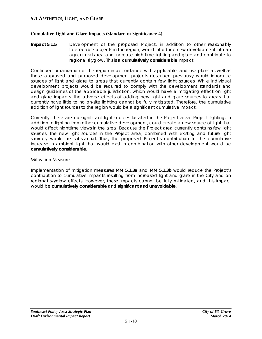#### **Cumulative Light and Glare Impacts (Standard of Significance 4)**

**Impact 5.1.5** Development of the proposed Project, in addition to other reasonably foreseeable projects in the region, would introduce new development into an agricultural area and increase nighttime lighting and glare and contribute to regional skyglow. This is a **cumulatively considerable** impact.

Continued urbanization of the region in accordance with applicable land use plans as well as those approved and proposed development projects described previously would introduce sources of light and glare to areas that currently contain few light sources. While individual development projects would be required to comply with the development standards and design guidelines of the applicable jurisdiction, which would have a mitigating effect on light and glare impacts, the adverse effects of adding new light and glare sources to areas that currently have little to no on-site lighting cannot be fully mitigated. Therefore, the cumulative addition of light sources to the region would be a significant cumulative impact.

Currently, there are no significant light sources located in the Project area. Project lighting, in addition to lighting from other cumulative development, could create a new source of light that would affect nighttime views in the area. Because the Project area currently contains few light sources, the new light sources in the Project area, combined with existing and future light sources, would be substantial. Thus, the proposed Project's contribution to the cumulative increase in ambient light that would exist in combination with other development would be **cumulatively considerable**.

#### Mitigation Measures

Implementation of mitigation measures **MM 5.1.3a** and **MM 5.1.3b** would reduce the Project's contribution to cumulative impacts resulting from increased light and glare in the City and on regional skyglow effects. However, these impacts cannot be fully mitigated, and this impact would be **cumulatively considerable** and **significant and unavoidable**.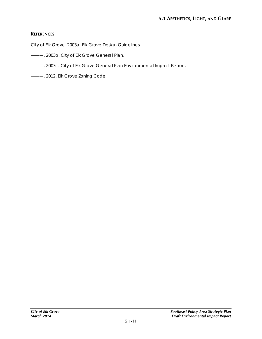# **REFERENCES**

City of Elk Grove. 2003a. *Elk Grove Design Guidelines*.

- ———. 2003b. *City of Elk Grove General Plan*.
- ———. 2003c. *City of Elk Grove General Plan Environmental Impact Report.*
- ———. 2012. Elk Grove Zoning Code.